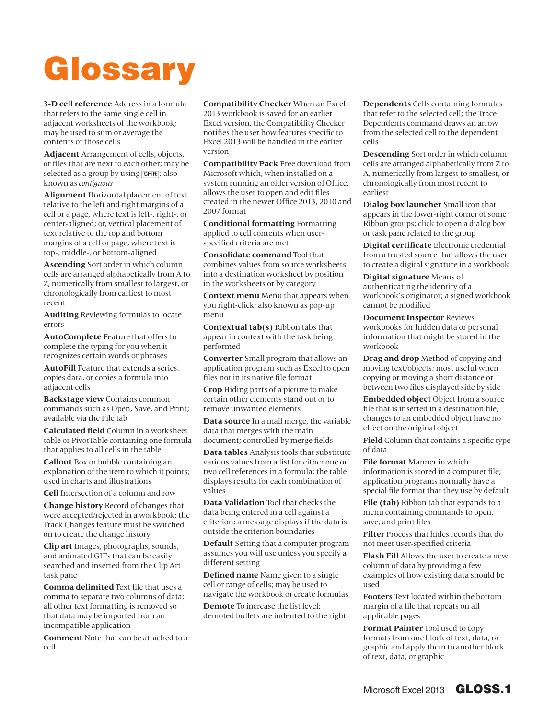## Glossary

**3-D cell reference** Address in a formula that refers to the same single cell in adjacent worksheets of the workbook; may be used to sum or average the contents of those cells

**Adjacent** Arrangement of cells, objects, or files that are next to each other; may be selected as a group by using [Shift]; also known as *contiguous*

**Alignment** Horizontal placement of text relative to the left and right margins of a cell or a page, where text is left-, right-, or center-aligned; or, vertical placement of text relative to the top and bottom margins of a cell or page, where text is top-, middle-, or bottom-aligned

**Ascending** Sort order in which column cells are arranged alphabetically from A to Z, numerically from smallest to largest, or chronologically from earliest to most recent

**Auditing** Reviewing formulas to locate errors

**AutoComplete** Feature that offers to complete the typing for you when it recognizes certain words or phrases

**AutoFill** Feature that extends a series, copies data, or copies a formula into adjacent cells

**Backstage view** Contains common commands such as Open, Save, and Print; available via the File tab

**Calculated field** Column in a worksheet table or PivotTable containing one formula that applies to all cells in the table

**Callout** Box or bubble containing an explanation of the item to which it points; used in charts and illustrations

**Cell** Intersection of a column and row

**Change history** Record of changes that were accepted/rejected in a workbook; the Track Changes feature must be switched on to create the change history

**Clip art** Images, photographs, sounds, and animated GIFs that can be easily searched and inserted from the Clip Art task pane

**Comma delimited** Text file that uses a comma to separate two columns of data; all other text formatting is removed so that data may be imported from an incompatible application

**Comment** Note that can be attached to a cell

**Compatibility Checker** When an Excel 2013 workbook is saved for an earlier Excel version, the Compatibility Checker notifies the user how features specific to Excel 2013 will be handled in the earlier version

**Compatibility Pack** Free download from Microsoft which, when installed on a system running an older version of Office, allows the user to open and edit files created in the newer Office 2013, 2010 and 2007 format

**Conditional formatting** Formatting applied to cell contents when userspecified criteria are met

**Consolidate command** Tool that combines values from source worksheets into a destination worksheet by position in the worksheets or by category

**Context menu** Menu that appears when you right-click; also known as pop-up menu

**Contextual tab(s)** Ribbon tabs that appear in context with the task being performed

**Converter** Small program that allows an application program such as Excel to open files not in its native file format

**Crop** Hiding parts of a picture to make certain other elements stand out or to remove unwanted elements

**Data source** In a mail merge, the variable data that merges with the main document; controlled by merge fields

**Data tables** Analysis tools that substitute various values from a list for either one or two cell references in a formula; the table displays results for each combination of values

**Data Validation** Tool that checks the data being entered in a cell against a criterion; a message displays if the data is outside the criterion boundaries

**Default** Setting that a computer program assumes you will use unless you specify a different setting

**Defined name** Name given to a single cell or range of cells; may be used to navigate the workbook or create formulas

**Demote** To increase the list level; demoted bullets are indented to the right **Dependents** Cells containing formulas that refer to the selected cell; the Trace Dependents command draws an arrow from the selected cell to the dependent cells

**Descending** Sort order in which column cells are arranged alphabetically from Z to A, numerically from largest to smallest, or chronologically from most recent to earliest

**Dialog box launcher** Small icon that appears in the lower-right corner of some Ribbon groups; click to open a dialog box or task pane related to the group

**Digital certificate** Electronic credential from a trusted source that allows the user to create a digital signature in a workbook

**Digital signature** Means of authenticating the identity of a workbook's originator; a signed workbook cannot be modified

**Document Inspector** Reviews workbooks for hidden data or personal information that might be stored in the workbook

**Drag and drop** Method of copying and moving text/objects; most useful when copying or moving a short distance or between two files displayed side by side

**Embedded object** Object from a source file that is inserted in a destination file; changes to an embedded object have no effect on the original object

**Field** Column that contains a specific type of data

**File format** Manner in which information is stored in a computer file; application programs normally have a special file format that they use by default

**File (tab)** Ribbon tab that expands to a menu containing commands to open, save, and print files

**Filter** Process that hides records that do not meet user-specified criteria

**Flash Fill** Allows the user to create a new column of data by providing a few examples of how existing data should be used

**Footers** Text located within the bottom margin of a file that repeats on all applicable pages

**Format Painter** Tool used to copy formats from one block of text, data, or graphic and apply them to another block of text, data, or graphic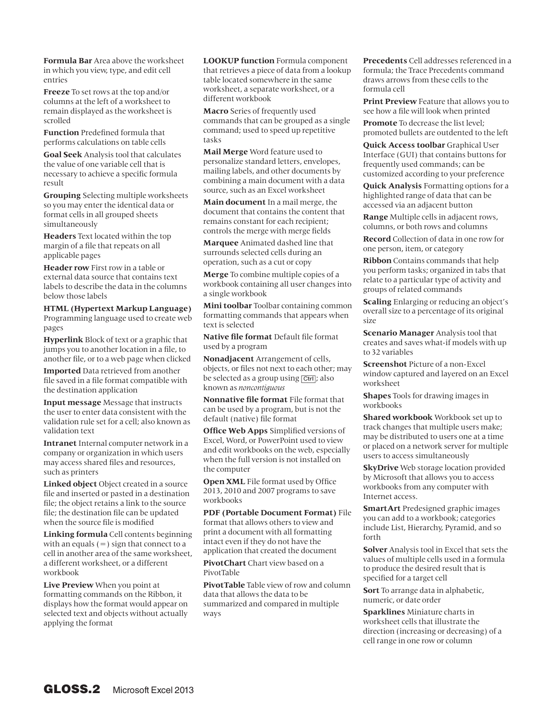**Formula Bar** Area above the worksheet in which you view, type, and edit cell entries

**Freeze** To set rows at the top and/or columns at the left of a worksheet to remain displayed as the worksheet is scrolled

**Function** Predefined formula that performs calculations on table cells

**Goal Seek** Analysis tool that calculates the value of one variable cell that is necessary to achieve a specific formula result

**Grouping** Selecting multiple worksheets so you may enter the identical data or format cells in all grouped sheets simultaneously

**Headers** Text located within the top margin of a file that repeats on all applicable pages

**Header row** First row in a table or external data source that contains text labels to describe the data in the columns below those labels

**HTML (Hypertext Markup Language)**  Programming language used to create web pages

**Hyperlink** Block of text or a graphic that jumps you to another location in a file, to another file, or to a web page when clicked

**Imported** Data retrieved from another file saved in a file format compatible with the destination application

**Input message** Message that instructs the user to enter data consistent with the validation rule set for a cell; also known as validation text

**Intranet** Internal computer network in a company or organization in which users may access shared files and resources, such as printers

**Linked object** Object created in a source file and inserted or pasted in a destination file; the object retains a link to the source file; the destination file can be updated when the source file is modified

**Linking formula** Cell contents beginning with an equals  $(=)$  sign that connect to a cell in another area of the same worksheet, a different worksheet, or a different workbook

**Live Preview** When you point at formatting commands on the Ribbon, it displays how the format would appear on selected text and objects without actually applying the format

**LOOKUP function** Formula component that retrieves a piece of data from a lookup table located somewhere in the same worksheet, a separate worksheet, or a different workbook

**Macro** Series of frequently used commands that can be grouped as a single command; used to speed up repetitive tasks

**Mail Merge** Word feature used to personalize standard letters, envelopes, mailing labels, and other documents by combining a main document with a data source, such as an Excel worksheet

**Main document** In a mail merge, the document that contains the content that remains constant for each recipient; controls the merge with merge fields

**Marquee** Animated dashed line that surrounds selected cells during an operation, such as a cut or copy

**Merge** To combine multiple copies of a workbook containing all user changes into a single workbook

**Mini toolbar** Toolbar containing common formatting commands that appears when text is selected

**Native file format** Default file format used by a program

**Nonadjacent** Arrangement of cells, objects, or files not next to each other; may be selected as a group using [Ctrl]; also known as *noncontiguous*

**Nonnative file format** File format that can be used by a program, but is not the default (native) file format

**Office Web Apps** Simplified versions of Excel, Word, or PowerPoint used to view and edit workbooks on the web, especially when the full version is not installed on the computer

**Open XML** File format used by Office 2013, 2010 and 2007 programs to save workbooks

**PDF (Portable Document Format)** File format that allows others to view and print a document with all formatting intact even if they do not have the application that created the document

**PivotChart** Chart view based on a PivotTable

**PivotTable** Table view of row and column data that allows the data to be summarized and compared in multiple ways

**Precedents** Cell addresses referenced in a formula; the Trace Precedents command draws arrows from these cells to the formula cell

**Print Preview** Feature that allows you to see how a file will look when printed

**Promote** To decrease the list level; promoted bullets are outdented to the left

**Quick Access toolbar** Graphical User Interface (GUI) that contains buttons for frequently used commands; can be customized according to your preference

**Quick Analysis** Formatting options for a highlighted range of data that can be accessed via an adjacent button

**Range** Multiple cells in adjacent rows, columns, or both rows and columns

**Record** Collection of data in one row for one person, item, or category

**Ribbon** Contains commands that help you perform tasks; organized in tabs that relate to a particular type of activity and groups of related commands

**Scaling** Enlarging or reducing an object's overall size to a percentage of its original size

**Scenario Manager** Analysis tool that creates and saves what-if models with up to 32 variables

**Screenshot** Picture of a non-Excel window captured and layered on an Excel worksheet

**Shapes** Tools for drawing images in workbooks

**Shared workbook** Workbook set up to track changes that multiple users make; may be distributed to users one at a time or placed on a network server for multiple users to access simultaneously

**SkyDrive** Web storage location provided by Microsoft that allows you to access workbooks from any computer with Internet access.

**SmartArt** Predesigned graphic images you can add to a workbook; categories include List, Hierarchy, Pyramid, and so forth

**Solver** Analysis tool in Excel that sets the values of multiple cells used in a formula to produce the desired result that is specified for a target cell

**Sort** To arrange data in alphabetic, numeric, or date order

**Sparklines** Miniature charts in worksheet cells that illustrate the direction (increasing or decreasing) of a cell range in one row or column